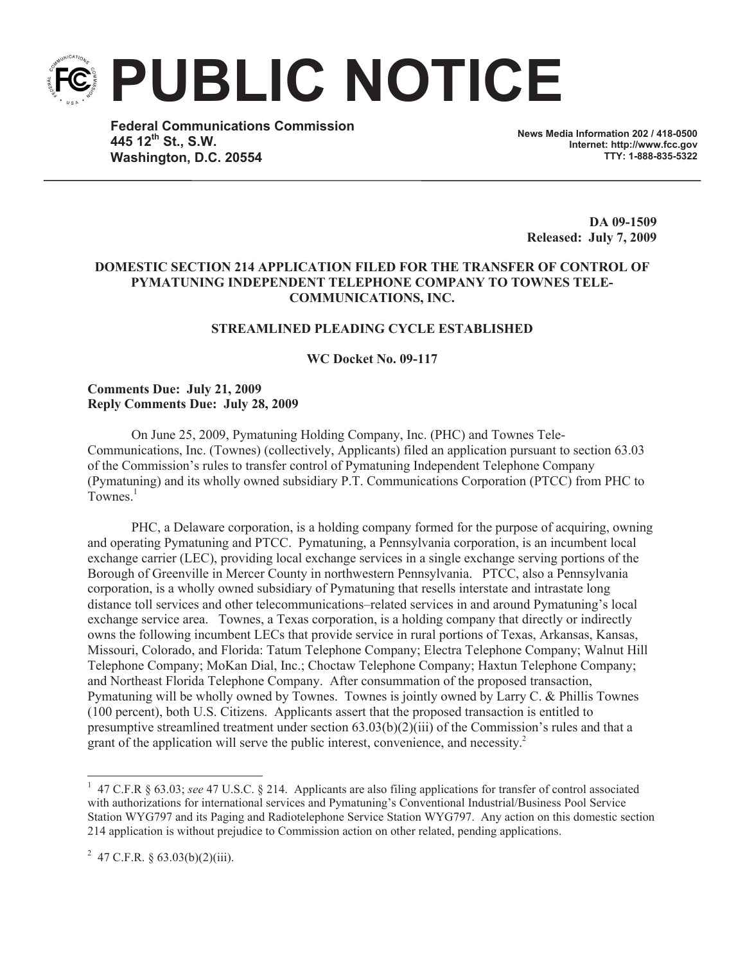**PUBLIC NOTICE**

**Federal Communications Commission 445 12th St., S.W. Washington, D.C. 20554**

**News Media Information 202 / 418-0500 Internet: http://www.fcc.gov TTY: 1-888-835-5322**

**DA 09-1509 Released: July 7, 2009**

## **DOMESTIC SECTION 214 APPLICATION FILED FOR THE TRANSFER OF CONTROL OF PYMATUNING INDEPENDENT TELEPHONE COMPANY TO TOWNES TELE-COMMUNICATIONS, INC.**

#### **STREAMLINED PLEADING CYCLE ESTABLISHED**

**WC Docket No. 09-117**

#### **Comments Due: July 21, 2009 Reply Comments Due: July 28, 2009**

On June 25, 2009, Pymatuning Holding Company, Inc. (PHC) and Townes Tele-Communications, Inc. (Townes) (collectively, Applicants) filed an application pursuant to section 63.03 of the Commission's rules to transfer control of Pymatuning Independent Telephone Company (Pymatuning) and its wholly owned subsidiary P.T. Communications Corporation (PTCC) from PHC to Townes.<sup>1</sup>

PHC, a Delaware corporation, is a holding company formed for the purpose of acquiring, owning and operating Pymatuning and PTCC. Pymatuning, a Pennsylvania corporation, is an incumbent local exchange carrier (LEC), providing local exchange services in a single exchange serving portions of the Borough of Greenville in Mercer County in northwestern Pennsylvania. PTCC, also a Pennsylvania corporation, is a wholly owned subsidiary of Pymatuning that resells interstate and intrastate long distance toll services and other telecommunications–related services in and around Pymatuning's local exchange service area. Townes, a Texas corporation, is a holding company that directly or indirectly owns the following incumbent LECs that provide service in rural portions of Texas, Arkansas, Kansas, Missouri, Colorado, and Florida: Tatum Telephone Company; Electra Telephone Company; Walnut Hill Telephone Company; MoKan Dial, Inc.; Choctaw Telephone Company; Haxtun Telephone Company; and Northeast Florida Telephone Company. After consummation of the proposed transaction, Pymatuning will be wholly owned by Townes. Townes is jointly owned by Larry C. & Phillis Townes (100 percent), both U.S. Citizens. Applicants assert that the proposed transaction is entitled to presumptive streamlined treatment under section 63.03(b)(2)(iii) of the Commission's rules and that a grant of the application will serve the public interest, convenience, and necessity. 2

<sup>&</sup>lt;sup>1</sup> 47 C.F.R § 63.03; *see* 47 U.S.C. § 214. Applicants are also filing applications for transfer of control associated with authorizations for international services and Pymatuning's Conventional Industrial/Business Pool Service Station WYG797 and its Paging and Radiotelephone Service Station WYG797. Any action on this domestic section 214 application is without prejudice to Commission action on other related, pending applications.

<sup>&</sup>lt;sup>2</sup> 47 C.F.R. § 63.03(b)(2)(iii).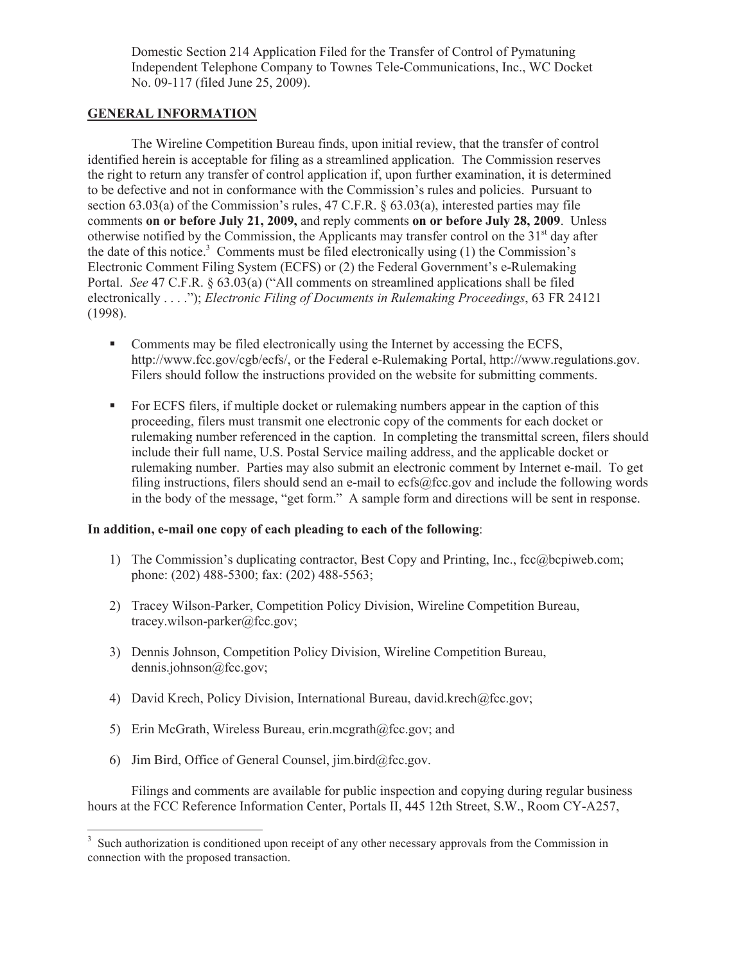Domestic Section 214 Application Filed for the Transfer of Control of Pymatuning Independent Telephone Company to Townes Tele-Communications, Inc., WC Docket No. 09-117 (filed June 25, 2009).

# **GENERAL INFORMATION**

The Wireline Competition Bureau finds, upon initial review, that the transfer of control identified herein is acceptable for filing as a streamlined application. The Commission reserves the right to return any transfer of control application if, upon further examination, it is determined to be defective and not in conformance with the Commission's rules and policies. Pursuant to section 63.03(a) of the Commission's rules, 47 C.F.R.  $\S$  63.03(a), interested parties may file comments **on or before July 21, 2009,** and reply comments **on or before July 28, 2009**. Unless otherwise notified by the Commission, the Applicants may transfer control on the  $31<sup>st</sup>$  day after the date of this notice.<sup>3</sup> Comments must be filed electronically using  $(1)$  the Commission's Electronic Comment Filing System (ECFS) or (2) the Federal Government's e-Rulemaking Portal. *See* 47 C.F.R. § 63.03(a) ("All comments on streamlined applications shall be filed electronically . . . ."); *Electronic Filing of Documents in Rulemaking Proceedings*, 63 FR 24121 (1998).

- Comments may be filed electronically using the Internet by accessing the ECFS, http://www.fcc.gov/cgb/ecfs/, or the Federal e-Rulemaking Portal, http://www.regulations.gov. Filers should follow the instructions provided on the website for submitting comments.
- For ECFS filers, if multiple docket or rulemaking numbers appear in the caption of this proceeding, filers must transmit one electronic copy of the comments for each docket or rulemaking number referenced in the caption. In completing the transmittal screen, filers should include their full name, U.S. Postal Service mailing address, and the applicable docket or rulemaking number. Parties may also submit an electronic comment by Internet e-mail. To get filing instructions, filers should send an e-mail to ecfs@fcc.gov and include the following words in the body of the message, "get form." A sample form and directions will be sent in response.

## **In addition, e-mail one copy of each pleading to each of the following**:

- 1) The Commission's duplicating contractor, Best Copy and Printing, Inc., fcc@bcpiweb.com; phone: (202) 488-5300; fax: (202) 488-5563;
- 2) Tracey Wilson-Parker, Competition Policy Division, Wireline Competition Bureau, tracey.wilson-parker@fcc.gov;
- 3) Dennis Johnson, Competition Policy Division, Wireline Competition Bureau, dennis.johnson@fcc.gov;
- 4) David Krech, Policy Division, International Bureau, david.krech@fcc.gov;
- 5) Erin McGrath, Wireless Bureau, erin.mcgrath@fcc.gov; and
- 6) Jim Bird, Office of General Counsel, jim.bird@fcc.gov.

Filings and comments are available for public inspection and copying during regular business hours at the FCC Reference Information Center, Portals II, 445 12th Street, S.W., Room CY-A257,

<sup>&</sup>lt;sup>3</sup> Such authorization is conditioned upon receipt of any other necessary approvals from the Commission in connection with the proposed transaction.